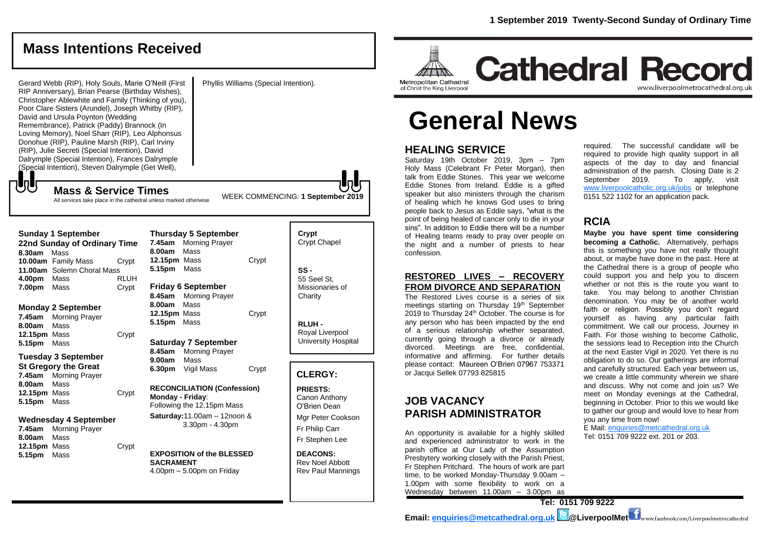**Cathedral Record** 

# **Mass Intentions Received**

Phyllis Williams (Special Intention).

Gerard Webb (RIP), Holy Souls, Marie O'Neill (First RIP Anniversary), Brian Pearse (Birthday Wishes), Christopher Ablewhite and Family (Thinking of you), Poor Clare Sisters (Arundel), Joseph Whitby (RIP), David and Ursula Poynton (Wedding Remembrance), Patrick (Paddy) Brannock (In Loving Memory), Noel Sharr (RIP), Leo Alphonsus Donohue (RIP), Pauline Marsh (RIP), Carl Irviny (RIP), Julie Secreti (Special Intention), David Dalrymple (Special Intention), Frances Dalrymple (Special Intention), Steven Dalrymple (Get Well),

**Mass & Service Times**

**Sunday 1 September** 

もし

**22nd Sunday of Ordinary Time**

All services take place in the cathedral unless marked otherwise

# **General News**

# **HEALING SERVICE**

Metropolitan Cathedral

of Christ the King Liverpool

Saturday 19th October 2019, 3pm – 7pm Holy Mass (Celebrant Fr Peter Morgan), then talk from Eddie Stones. This year we welcome Eddie Stones from Ireland. Eddie is a gifted speaker but also ministers through the charism of healing which he knows God uses to bring people back to Jesus as Eddie says, "what is the point of being healed of cancer only to die in your sins". In addition to Eddie there will be a number of Healing teams ready to pray over people on the night and a number of priests to hear confession.

## **RESTORED LIVES – RECOVERY FROM DIVORCE AND SEPARATION**

The Restored Lives course is a series of six meetings starting on Thursday 19<sup>th</sup> September 2019 to Thursday 24<sup>th</sup> October. The course is for any person who has been impacted by the end of a serious relationship whether separated, currently going through a divorce or already divorced. Meetings are free, confidential, informative and affirming. For further details please contact: Maureen O'Brien 07967 753371 or Jacqui Sellek 07793 825815

# **JOB VACANCY PARISH ADMINISTRATOR**

An opportunity is available for a highly skilled and experienced administrator to work in the parish office at Our Lady of the Assumption Presbytery working closely with the Parish Priest, Fr Stephen Pritchard. The hours of work are part time, to be worked Monday-Thursday 9.00am – 1.00pm with some flexibility to work on a Wednesday between 11.00am – 3.00pm as

required. The successful candidate will be required to provide high quality support in all aspects of the day to day and financial administration of the parish. Closing Date is 2 September 2019. To apply, visit [www.liverpoolcatholic.org.uk/jobs](http://www.liverpoolcatholic.org.uk/jobs) or telephone 0151 522 1102 for an application pack.

www.liverpoolmetrocathedral.org.uk

# **RCIA**

**Maybe you have spent time considering becoming a Catholic.** Alternatively, perhaps this is something you have not really thought about, or maybe have done in the past. Here at the Cathedral there is a group of people who could support you and help you to discern whether or not this is the route you want to take. You may belong to another Christian denomination. You may be of another world faith or religion. Possibly you don't regard yourself as having any particular faith commitment. We call our process, *Journey in Faith*. For those wishing to become Catholic, the sessions lead to Reception into the Church at the next Easter Vigil in 2020. Yet there is no obligation to do so. Our gatherings are informal and carefully structured. Each year between us, we create a little community wherein we share and discuss. Why not come and join us? We meet on Monday evenings at the Cathedral, beginning in October. Prior to this we would like to gather our group and would love to hear from you any time from now!

E Mail[: enquiries@metcathedral.org.uk](mailto:enquiries@metcathedral.org.uk) Tel: 0151 709 9222 ext. 201 or 203.

**8.30am** Mass **10.00am** Family Mass Crypt **11.00am** Solemn Choral Mass **4.00pm** Mass RLUH **7.00pm** Mass Crypt **Monday 2 September 7.45am** Morning Prayer **8.00am** Mass **12.15pm** Mass Crypt **5.15pm** Mass **Tuesday 3 September St Gregory the Great 7.45am** Morning Prayer **8.00am** Mass **12.15pm** Mass Crypt **5.15pm** Mass **Wednesday 4 September 7.45am** Morning Prayer **8.00am** Mass **12.15pm** Mass Crypt **5.15pm** Mass **8.00am** Mass **12.15pm** Mass Crypt **5.15pm** Mass **Friday 6 September 8.45am** Morning Prayer **8.00am** Mass **12.15pm** Mass Crypt **5.15pm** Mass **Saturday 7 September 8.45am** Morning Prayer **9.00am** Mass **6.30pm** Vigil Mass Crypt **RECONCILIATION (Confession) Monday - Friday**: Following the 12.15pm Mass **Saturday:**11.00am – 12noon & 3.30pm - 4.30pm **EXPOSITION of the BLESSED SACRAMENT** 4.00pm – 5.00pm on Friday

**Thursday 5 September 7.45am** Morning Prayer

## **SS -** 55 Seel St, Missionaries of **Charity RLUH -** Royal Liverpool University Hospital

**Crypt**  Crypt Chapel

WEEK COMMENCING: **1 September 2019**

## **CLERGY:**

**PRIESTS:** Canon Anthony O'Brien *Dean*

Mgr Peter Cookson Fr Philip Carr Fr Stephen Lee

**DEACONS:** Rev Noel Abbott Rev Paul Mannings

**Tel: 0151 709 9222**